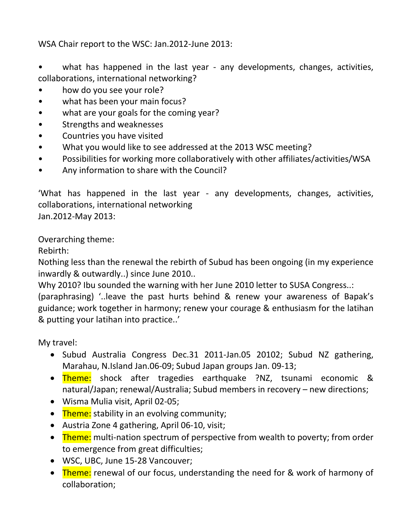WSA Chair report to the WSC: Jan.2012-June 2013:

• what has happened in the last year - any developments, changes, activities, collaborations, international networking?

- how do you see your role?
- what has been your main focus?
- what are your goals for the coming year?
- Strengths and weaknesses
- Countries you have visited
- What you would like to see addressed at the 2013 WSC meeting?
- Possibilities for working more collaboratively with other affiliates/activities/WSA
- Any information to share with the Council?

'What has happened in the last year - any developments, changes, activities, collaborations, international networking Jan.2012-May 2013:

Overarching theme:

Rebirth:

Nothing less than the renewal the rebirth of Subud has been ongoing (in my experience inwardly & outwardly..) since June 2010..

Why 2010? Ibu sounded the warning with her June 2010 letter to SUSA Congress..:

(paraphrasing) '..leave the past hurts behind & renew your awareness of Bapak's guidance; work together in harmony; renew your courage & enthusiasm for the latihan & putting your latihan into practice..'

My travel:

- Subud Australia Congress Dec.31 2011-Jan.05 20102; Subud NZ gathering, Marahau, N.Island Jan.06-09; Subud Japan groups Jan. 09-13;
- Theme: shock after tragedies earthquake ?NZ, tsunami economic & natural/Japan; renewal/Australia; Subud members in recovery – new directions;
- Wisma Mulia visit, April 02-05;
- Theme: stability in an evolving community;
- Austria Zone 4 gathering, April 06-10, visit;
- Theme: multi-nation spectrum of perspective from wealth to poverty; from order to emergence from great difficulties;
- WSC, UBC, June 15-28 Vancouver;
- Theme: renewal of our focus, understanding the need for & work of harmony of collaboration;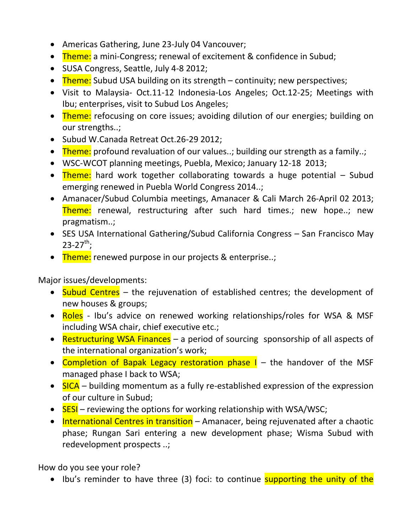- Americas Gathering, June 23-July 04 Vancouver;
- Theme: a mini-Congress; renewal of excitement & confidence in Subud;
- SUSA Congress, Seattle, July 4-8 2012;
- Theme: Subud USA building on its strength continuity; new perspectives;
- Visit to Malaysia- Oct.11-12 Indonesia-Los Angeles; Oct.12-25; Meetings with Ibu; enterprises, visit to Subud Los Angeles;
- Theme: refocusing on core issues; avoiding dilution of our energies; building on our strengths..;
- Subud W.Canada Retreat Oct.26-29 2012;
- Theme: profound revaluation of our values..; building our strength as a family..;
- WSC-WCOT planning meetings, Puebla, Mexico; January 12-18 2013;
- Theme: hard work together collaborating towards a huge potential  $-$  Subud emerging renewed in Puebla World Congress 2014..;
- Amanacer/Subud Columbia meetings, Amanacer & Cali March 26-April 02 2013; Theme: renewal, restructuring after such hard times.; new hope..; new pragmatism..;
- SES USA International Gathering/Subud California Congress San Francisco May  $23 - 27$ <sup>th</sup>;
- Theme: renewed purpose in our projects & enterprise..;

Major issues/developments:

- Subud Centres the rejuvenation of established centres; the development of new houses & groups;
- Roles Ibu's advice on renewed working relationships/roles for WSA & MSF including WSA chair, chief executive etc.;
- Restructuring WSA Finances a period of sourcing sponsorship of all aspects of the international organization's work;
- Completion of Bapak Legacy restoration phase I the handover of the MSF managed phase I back to WSA;
- $\bullet$  SICA building momentum as a fully re-established expression of the expression of our culture in Subud;
- SESI reviewing the options for working relationship with WSA/WSC;
- International Centres in transition Amanacer, being rejuvenated after a chaotic phase; Rungan Sari entering a new development phase; Wisma Subud with redevelopment prospects ..;

How do you see your role?

• Ibu's reminder to have three (3) foci: to continue supporting the unity of the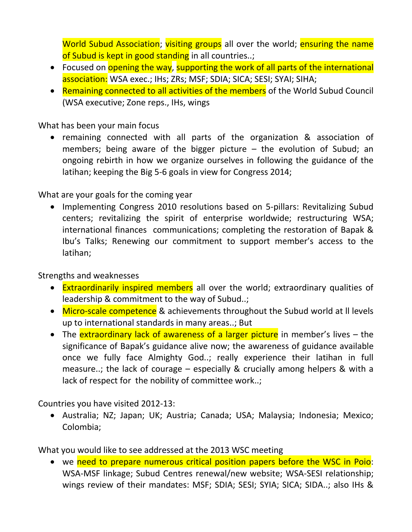World Subud Association; visiting groups all over the world; ensuring the name of Subud is kept in good standing in all countries..;

- Focused on opening the way, supporting the work of all parts of the international association: WSA exec.; IHs; ZRs; MSF; SDIA; SICA; SESI; SYAI; SIHA;
- Remaining connected to all activities of the members of the World Subud Council (WSA executive; Zone reps., IHs, wings

What has been your main focus

 remaining connected with all parts of the organization & association of members; being aware of the bigger picture – the evolution of Subud; an ongoing rebirth in how we organize ourselves in following the guidance of the latihan; keeping the Big 5-6 goals in view for Congress 2014;

What are your goals for the coming year

• Implementing Congress 2010 resolutions based on 5-pillars: Revitalizing Subud centers; revitalizing the spirit of enterprise worldwide; restructuring WSA; international finances communications; completing the restoration of Bapak & Ibu's Talks; Renewing our commitment to support member's access to the latihan;

Strengths and weaknesses

- Extraordinarily inspired members all over the world; extraordinary qualities of leadership & commitment to the way of Subud..;
- Micro-scale competence & achievements throughout the Subud world at II levels up to international standards in many areas..; But
- The extraordinary lack of awareness of a larger picture in member's lives the significance of Bapak's guidance alive now; the awareness of guidance available once we fully face Almighty God..; really experience their latihan in full measure..; the lack of courage – especially & crucially among helpers & with a lack of respect for the nobility of committee work..;

Countries you have visited 2012-13:

 Australia; NZ; Japan; UK; Austria; Canada; USA; Malaysia; Indonesia; Mexico; Colombia;

What you would like to see addressed at the 2013 WSC meeting

• we need to prepare numerous critical position papers before the WSC in Poio: WSA-MSF linkage; Subud Centres renewal/new website; WSA-SESI relationship; wings review of their mandates: MSF; SDIA; SESI; SYIA; SICA; SIDA..; also IHs &